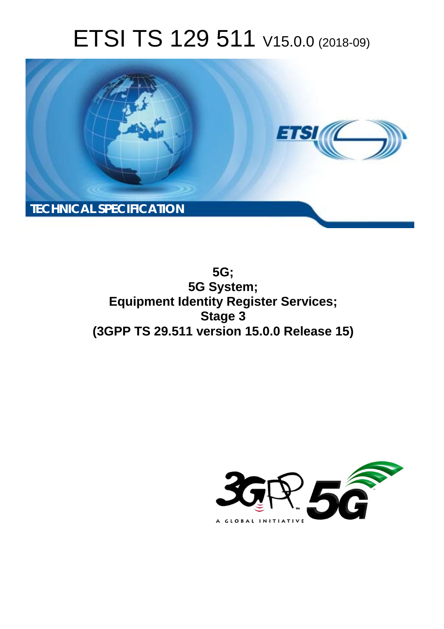# ETSI TS 129 511 V15.0.0 (2018-09)



**5G; 5G System; Equipment Identity Register Services; Stage 3 (3GPP TS 29.511 version 15.0.0 Release 15)** 

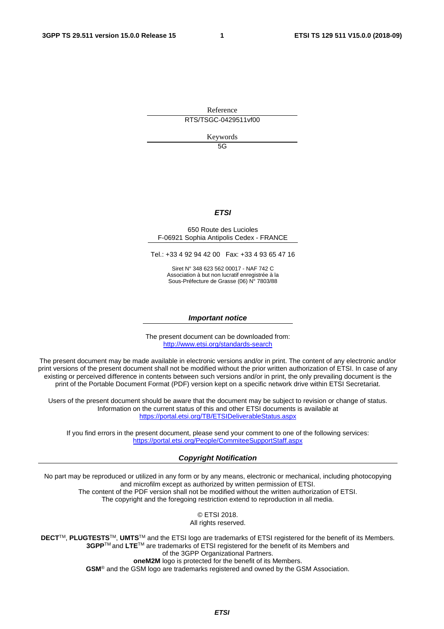Reference RTS/TSGC-0429511vf00

Keywords

 $5G$ 

#### *ETSI*

#### 650 Route des Lucioles F-06921 Sophia Antipolis Cedex - FRANCE

Tel.: +33 4 92 94 42 00 Fax: +33 4 93 65 47 16

Siret N° 348 623 562 00017 - NAF 742 C Association à but non lucratif enregistrée à la Sous-Préfecture de Grasse (06) N° 7803/88

#### *Important notice*

The present document can be downloaded from: <http://www.etsi.org/standards-search>

The present document may be made available in electronic versions and/or in print. The content of any electronic and/or print versions of the present document shall not be modified without the prior written authorization of ETSI. In case of any existing or perceived difference in contents between such versions and/or in print, the only prevailing document is the print of the Portable Document Format (PDF) version kept on a specific network drive within ETSI Secretariat.

Users of the present document should be aware that the document may be subject to revision or change of status. Information on the current status of this and other ETSI documents is available at <https://portal.etsi.org/TB/ETSIDeliverableStatus.aspx>

If you find errors in the present document, please send your comment to one of the following services: <https://portal.etsi.org/People/CommiteeSupportStaff.aspx>

#### *Copyright Notification*

No part may be reproduced or utilized in any form or by any means, electronic or mechanical, including photocopying and microfilm except as authorized by written permission of ETSI. The content of the PDF version shall not be modified without the written authorization of ETSI. The copyright and the foregoing restriction extend to reproduction in all media.

> © ETSI 2018. All rights reserved.

**DECT**TM, **PLUGTESTS**TM, **UMTS**TM and the ETSI logo are trademarks of ETSI registered for the benefit of its Members. **3GPP**TM and **LTE**TM are trademarks of ETSI registered for the benefit of its Members and of the 3GPP Organizational Partners. **oneM2M** logo is protected for the benefit of its Members.

**GSM**® and the GSM logo are trademarks registered and owned by the GSM Association.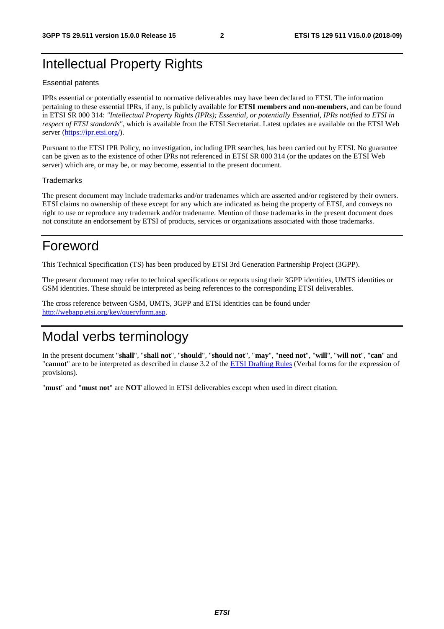### Intellectual Property Rights

#### Essential patents

IPRs essential or potentially essential to normative deliverables may have been declared to ETSI. The information pertaining to these essential IPRs, if any, is publicly available for **ETSI members and non-members**, and can be found in ETSI SR 000 314: *"Intellectual Property Rights (IPRs); Essential, or potentially Essential, IPRs notified to ETSI in respect of ETSI standards"*, which is available from the ETSI Secretariat. Latest updates are available on the ETSI Web server ([https://ipr.etsi.org/\)](https://ipr.etsi.org/).

Pursuant to the ETSI IPR Policy, no investigation, including IPR searches, has been carried out by ETSI. No guarantee can be given as to the existence of other IPRs not referenced in ETSI SR 000 314 (or the updates on the ETSI Web server) which are, or may be, or may become, essential to the present document.

#### **Trademarks**

The present document may include trademarks and/or tradenames which are asserted and/or registered by their owners. ETSI claims no ownership of these except for any which are indicated as being the property of ETSI, and conveys no right to use or reproduce any trademark and/or tradename. Mention of those trademarks in the present document does not constitute an endorsement by ETSI of products, services or organizations associated with those trademarks.

### Foreword

This Technical Specification (TS) has been produced by ETSI 3rd Generation Partnership Project (3GPP).

The present document may refer to technical specifications or reports using their 3GPP identities, UMTS identities or GSM identities. These should be interpreted as being references to the corresponding ETSI deliverables.

The cross reference between GSM, UMTS, 3GPP and ETSI identities can be found under [http://webapp.etsi.org/key/queryform.asp.](http://webapp.etsi.org/key/queryform.asp)

## Modal verbs terminology

In the present document "**shall**", "**shall not**", "**should**", "**should not**", "**may**", "**need not**", "**will**", "**will not**", "**can**" and "**cannot**" are to be interpreted as described in clause 3.2 of the [ETSI Drafting Rules](https://portal.etsi.org/Services/editHelp!/Howtostart/ETSIDraftingRules.aspx) (Verbal forms for the expression of provisions).

"**must**" and "**must not**" are **NOT** allowed in ETSI deliverables except when used in direct citation.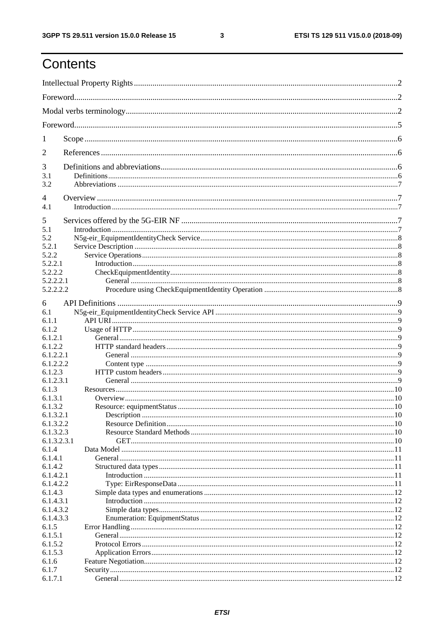ETSI TS 129 511 V15.0.0 (2018-09)

# Contents

| T           |  |
|-------------|--|
| 2           |  |
| 3           |  |
| 3.1<br>3.2  |  |
| 4           |  |
| 4.1         |  |
| 5           |  |
| 5.1         |  |
| 5.2         |  |
| 5.2.1       |  |
| 5.2.2       |  |
| 5.2.2.1     |  |
| 5.2.2.2     |  |
| 5.2.2.2.1   |  |
| 5.2.2.2.2   |  |
|             |  |
| 6           |  |
| 6.1         |  |
| 6.1.1       |  |
| 6.1.2       |  |
| 6.1.2.1     |  |
| 6.1.2.2     |  |
| 6.1.2.2.1   |  |
|             |  |
| 6.1.2.2.2   |  |
| 6.1.2.3     |  |
| 6.1.2.3.1   |  |
| 6.1.3       |  |
| 6.1.3.1     |  |
| 6.1.3.2     |  |
| 6.1.3.2.1   |  |
| 6.1.3.2.2   |  |
| 6.1.3.2.3   |  |
| 6.1.3.2.3.1 |  |
| 6.1.4       |  |
| 6.1.4.1     |  |
| 6.1.4.2     |  |
|             |  |
| 6.1.4.2.1   |  |
| 6.1.4.2.2   |  |
| 6.1.4.3     |  |
| 6.1.4.3.1   |  |
| 6.1.4.3.2   |  |
| 6.1.4.3.3   |  |
| 6.1.5       |  |
| 6.1.5.1     |  |
| 6.1.5.2     |  |
| 6.1.5.3     |  |
| 6.1.6       |  |
| 6.1.7       |  |
|             |  |
| 6.1.7.1     |  |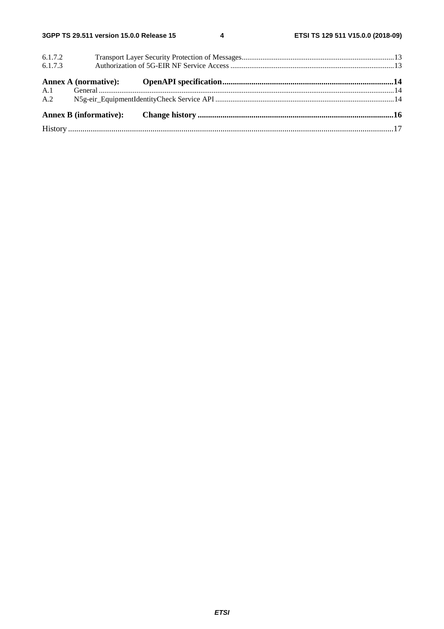$\overline{\mathbf{4}}$ 

| 6.1.7.2 |  |  |  |
|---------|--|--|--|
| 6.1.7.3 |  |  |  |
|         |  |  |  |
|         |  |  |  |
|         |  |  |  |
|         |  |  |  |
|         |  |  |  |
|         |  |  |  |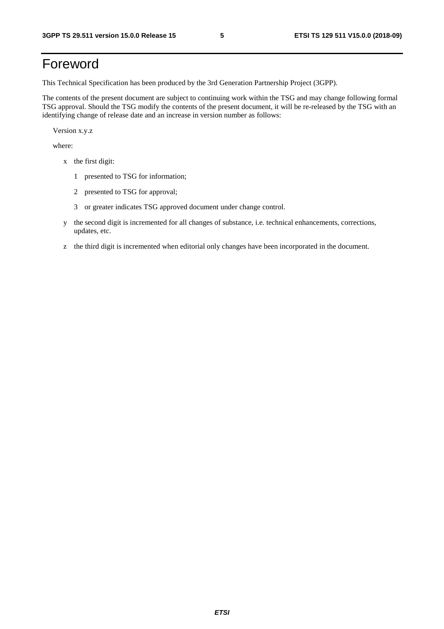# Foreword

This Technical Specification has been produced by the 3rd Generation Partnership Project (3GPP).

The contents of the present document are subject to continuing work within the TSG and may change following formal TSG approval. Should the TSG modify the contents of the present document, it will be re-released by the TSG with an identifying change of release date and an increase in version number as follows:

Version x.y.z

where:

- x the first digit:
	- 1 presented to TSG for information;
	- 2 presented to TSG for approval;
	- 3 or greater indicates TSG approved document under change control.
- y the second digit is incremented for all changes of substance, i.e. technical enhancements, corrections, updates, etc.
- z the third digit is incremented when editorial only changes have been incorporated in the document.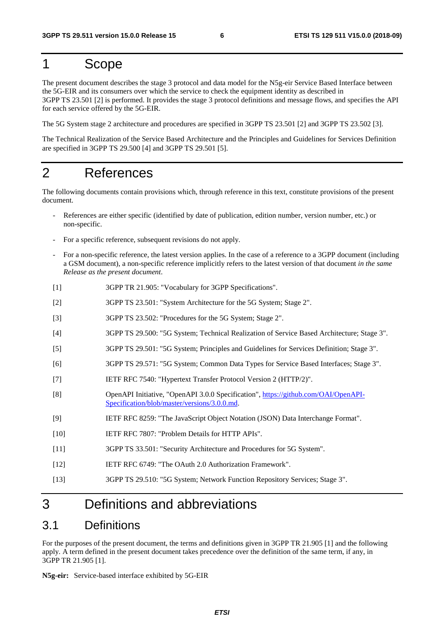### 1 Scope

The present document describes the stage 3 protocol and data model for the N5g-eir Service Based Interface between the 5G-EIR and its consumers over which the service to check the equipment identity as described in 3GPP TS 23.501 [2] is performed. It provides the stage 3 protocol definitions and message flows, and specifies the API for each service offered by the 5G-EIR.

The 5G System stage 2 architecture and procedures are specified in 3GPP TS 23.501 [2] and 3GPP TS 23.502 [3].

The Technical Realization of the Service Based Architecture and the Principles and Guidelines for Services Definition are specified in 3GPP TS 29.500 [4] and 3GPP TS 29.501 [5].

### 2 References

The following documents contain provisions which, through reference in this text, constitute provisions of the present document.

- References are either specific (identified by date of publication, edition number, version number, etc.) or non-specific.
- For a specific reference, subsequent revisions do not apply.
- For a non-specific reference, the latest version applies. In the case of a reference to a 3GPP document (including a GSM document), a non-specific reference implicitly refers to the latest version of that document *in the same Release as the present document*.
- [1] 3GPP TR 21.905: "Vocabulary for 3GPP Specifications".
- [2] 3GPP TS 23.501: "System Architecture for the 5G System; Stage 2".
- [3] 3GPP TS 23.502: "Procedures for the 5G System; Stage 2".
- [4] 3GPP TS 29.500: "5G System; Technical Realization of Service Based Architecture; Stage 3".
- [5] 3GPP TS 29.501: "5G System; Principles and Guidelines for Services Definition; Stage 3".
- [6] 3GPP TS 29.571: "5G System; Common Data Types for Service Based Interfaces; Stage 3".
- [7] IETF RFC 7540: "Hypertext Transfer Protocol Version 2 (HTTP/2)".
- [8] OpenAPI Initiative, "OpenAPI 3.0.0 Specification", [https://github.com/OAI/OpenAPI-](https://github.com/OAI/OpenAPI-Specification/blob/master/versions/3.0.0.md)[Specification/blob/master/versions/3.0.0.md](https://github.com/OAI/OpenAPI-Specification/blob/master/versions/3.0.0.md).
- [9] IETF RFC 8259: "The JavaScript Object Notation (JSON) Data Interchange Format".
- [10] IETF RFC 7807: "Problem Details for HTTP APIs".
- [11] 3GPP TS 33.501: "Security Architecture and Procedures for 5G System".
- [12] IETF RFC 6749: "The OAuth 2.0 Authorization Framework".
- [13] 3GPP TS 29.510: "5G System; Network Function Repository Services; Stage 3".

### 3 Definitions and abbreviations

### 3.1 Definitions

For the purposes of the present document, the terms and definitions given in 3GPP TR 21.905 [1] and the following apply. A term defined in the present document takes precedence over the definition of the same term, if any, in 3GPP TR 21.905 [1].

**N5g-eir:** Service-based interface exhibited by 5G-EIR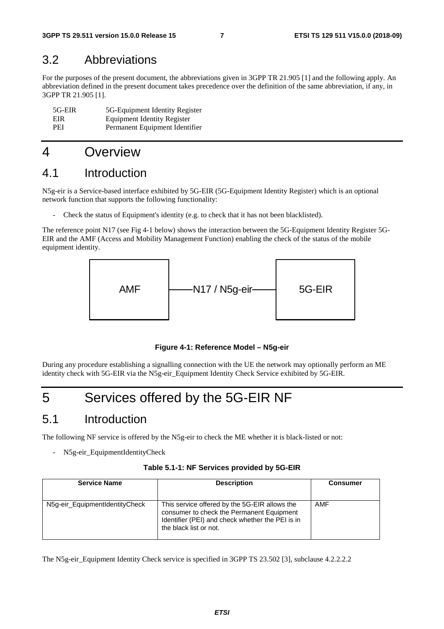### 3.2 Abbreviations

For the purposes of the present document, the abbreviations given in 3GPP TR 21.905 [1] and the following apply. An abbreviation defined in the present document takes precedence over the definition of the same abbreviation, if any, in 3GPP TR 21.905 [1].

| 5G-EIR     | 5G-Equipment Identity Register |
|------------|--------------------------------|
| EIR.       | Equipment Identity Register    |
| <b>PEI</b> | Permanent Equipment Identifier |

### 4 Overview

### 4.1 Introduction

N5g-eir is a Service-based interface exhibited by 5G-EIR (5G-Equipment Identity Register) which is an optional network function that supports the following functionality:

Check the status of Equipment's identity (e.g. to check that it has not been blacklisted).

The reference point N17 (see Fig 4-1 below) shows the interaction between the 5G-Equipment Identity Register 5G-EIR and the AMF (Access and Mobility Management Function) enabling the check of the status of the mobile equipment identity.



**Figure 4-1: Reference Model – N5g-eir** 

During any procedure establishing a signalling connection with the UE the network may optionally perform an ME identity check with 5G-EIR via the N5g-eir\_Equipment Identity Check Service exhibited by 5G-EIR.

# 5 Services offered by the 5G-EIR NF

### 5.1 Introduction

The following NF service is offered by the N5g-eir to check the ME whether it is black-listed or not:

- N5g-eir\_EquipmentIdentityCheck

| <b>Service Name</b>            | <b>Description</b>                                                                                                                                                       | <b>Consumer</b> |
|--------------------------------|--------------------------------------------------------------------------------------------------------------------------------------------------------------------------|-----------------|
| N5g-eir_EquipmentIdentityCheck | This service offered by the 5G-EIR allows the<br>consumer to check the Permanent Equipment<br>Identifier (PEI) and check whether the PEI is in<br>the black list or not. | AMF             |

The N5g-eir\_Equipment Identity Check service is specified in 3GPP TS 23.502 [3], subclause 4.2.2.2.2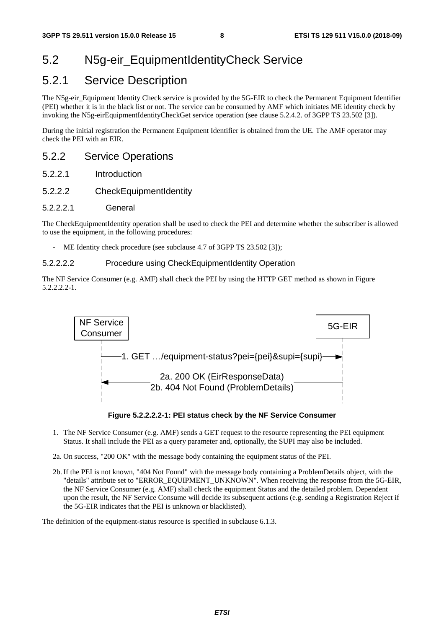### 5.2 N5g-eir\_EquipmentIdentityCheck Service

### 5.2.1 Service Description

The N5g-eir\_Equipment Identity Check service is provided by the 5G-EIR to check the Permanent Equipment Identifier (PEI) whether it is in the black list or not. The service can be consumed by AMF which initiates ME identity check by invoking the N5g-eirEquipmentIdentityCheckGet service operation (see clause 5.2.4.2. of 3GPP TS 23.502 [3]).

During the initial registration the Permanent Equipment Identifier is obtained from the UE. The AMF operator may check the PEI with an EIR.

#### 5.2.2 Service Operations

- 5.2.2.1 Introduction
- 5.2.2.2 CheckEquipmentIdentity
- 5.2.2.2.1 General

The CheckEquipmentIdentity operation shall be used to check the PEI and determine whether the subscriber is allowed to use the equipment, in the following procedures:

ME Identity check procedure (see subclause 4.7 of 3GPP TS 23.502 [3]);

#### 5.2.2.2.2 Procedure using CheckEquipmentIdentity Operation

The NF Service Consumer (e.g. AMF) shall check the PEI by using the HTTP GET method as shown in Figure 5.2.2.2.2-1.



**Figure 5.2.2.2.2-1: PEI status check by the NF Service Consumer** 

- 1. The NF Service Consumer (e.g. AMF) sends a GET request to the resource representing the PEI equipment Status. It shall include the PEI as a query parameter and, optionally, the SUPI may also be included.
- 2a. On success, "200 OK" with the message body containing the equipment status of the PEI.
- 2b. If the PEI is not known, "404 Not Found" with the message body containing a ProblemDetails object, with the "details" attribute set to "ERROR\_EQUIPMENT\_UNKNOWN". When receiving the response from the 5G-EIR, the NF Service Consumer (e.g. AMF) shall check the equipment Status and the detailed problem. Dependent upon the result, the NF Service Consume will decide its subsequent actions (e.g. sending a Registration Reject if the 5G-EIR indicates that the PEI is unknown or blacklisted).

The definition of the equipment-status resource is specified in subclause 6.1.3.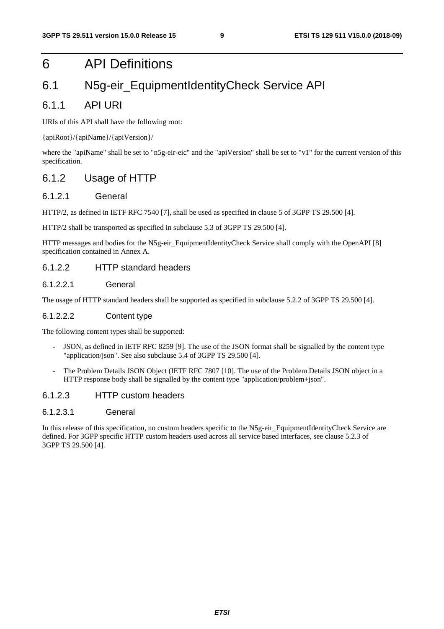### 6 API Definitions

### 6.1 N5g-eir\_EquipmentIdentityCheck Service API

#### 6.1.1 API URI

URIs of this API shall have the following root:

#### {apiRoot}/{apiName}/{apiVersion}/

where the "apiName" shall be set to "n5g-eir-eic" and the "apiVersion" shall be set to "v1" for the current version of this specification.

#### 6.1.2 Usage of HTTP

#### 6.1.2.1 General

HTTP/2, as defined in IETF RFC 7540 [7], shall be used as specified in clause 5 of 3GPP TS 29.500 [4].

HTTP/2 shall be transported as specified in subclause 5.3 of 3GPP TS 29.500 [4].

HTTP messages and bodies for the N5g-eir\_EquipmentIdentityCheck Service shall comply with the OpenAPI [8] specification contained in Annex A.

#### 6.1.2.2 HTTP standard headers

#### 6.1.2.2.1 General

The usage of HTTP standard headers shall be supported as specified in subclause 5.2.2 of 3GPP TS 29.500 [4].

#### 6.1.2.2.2 Content type

The following content types shall be supported:

- JSON, as defined in IETF RFC 8259 [9]. The use of the JSON format shall be signalled by the content type "application/json". See also subclause 5.4 of 3GPP TS 29.500 [4].
- The Problem Details JSON Object (IETF RFC 7807 [10]. The use of the Problem Details JSON object in a HTTP response body shall be signalled by the content type "application/problem+json".

#### 6.1.2.3 HTTP custom headers

#### 6.1.2.3.1 General

In this release of this specification, no custom headers specific to the N5g-eir\_EquipmentIdentityCheck Service are defined. For 3GPP specific HTTP custom headers used across all service based interfaces, see clause 5.2.3 of 3GPP TS 29.500 [4].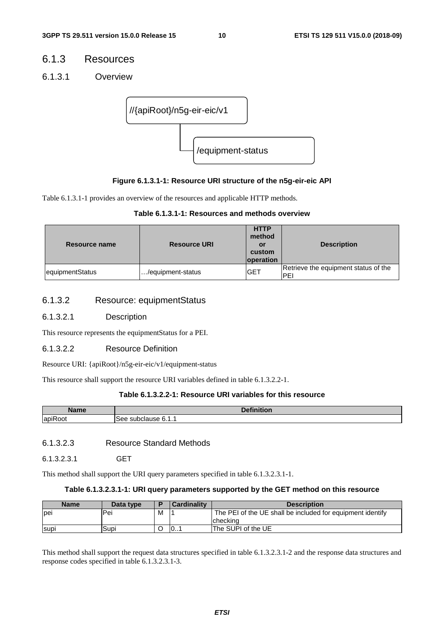#### 6.1.3 Resources

6.1.3.1 Overview



#### **Figure 6.1.3.1-1: Resource URI structure of the n5g-eir-eic API**

Table 6.1.3.1-1 provides an overview of the resources and applicable HTTP methods.

| Table 6.1.3.1-1: Resources and methods overview |  |
|-------------------------------------------------|--|
|-------------------------------------------------|--|

| Resource name   | <b>Resource URI</b> | <b>HTTP</b><br>method<br>or<br>custom<br><b>loperation</b> | <b>Description</b>                           |
|-----------------|---------------------|------------------------------------------------------------|----------------------------------------------|
| equipmentStatus | /equipment-status   | <b>GET</b>                                                 | Retrieve the equipment status of the<br>IPEI |

#### 6.1.3.2 Resource: equipmentStatus

#### 6.1.3.2.1 Description

This resource represents the equipmentStatus for a PEI.

#### 6.1.3.2.2 Resource Definition

Resource URI: {apiRoot}/n5g-eir-eic/v1/equipment-status

This resource shall support the resource URI variables defined in table 6.1.3.2.2-1.

#### **Table 6.1.3.2.2-1: Resource URI variables for this resource**

| Name                                      | <b>STATISTICS</b><br>D <sub>eff</sub><br>чоп. |
|-------------------------------------------|-----------------------------------------------|
| $\overline{\phantom{a}}$<br>lapiF<br>∖oot | $\sim$<br>dause<br>500<br>subciar"<br>◡.      |

6.1.3.2.3 Resource Standard Methods

6.1.3.2.3.1 GET

This method shall support the URI query parameters specified in table 6.1.3.2.3.1-1.

#### **Table 6.1.3.2.3.1-1: URI query parameters supported by the GET method on this resource**

| <b>Name</b>  | Data type |   | <b>Cardinality</b> | <b>Description</b>                                         |
|--------------|-----------|---|--------------------|------------------------------------------------------------|
| <b>l</b> pei | Pei       | М |                    | The PEI of the UE shall be included for equipment identify |
|              |           |   |                    | Icheckina                                                  |
| <b>Supi</b>  | Supi      |   | 0                  | The SUPI of the UE                                         |

This method shall support the request data structures specified in table 6.1.3.2.3.1-2 and the response data structures and response codes specified in table 6.1.3.2.3.1-3.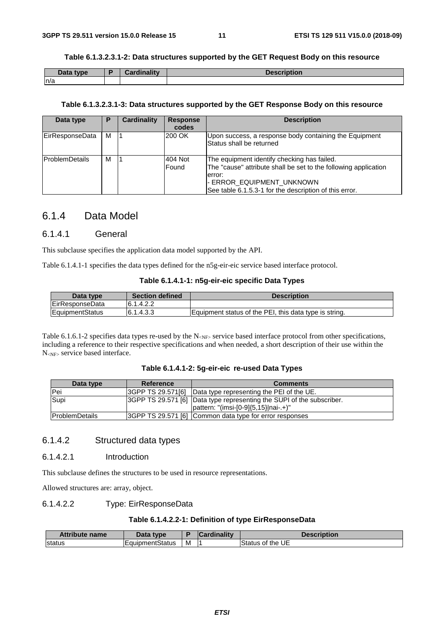#### **Table 6.1.3.2.3.1-2: Data structures supported by the GET Request Body on this resource**

| Data type | <b>Cordinality</b><br><b>A</b> diam | <b>Description</b> |
|-----------|-------------------------------------|--------------------|
| ln/a      |                                     |                    |

#### **Table 6.1.3.2.3.1-3: Data structures supported by the GET Response Body on this resource**

| Data type             | Р | Cardinality | <b>Response</b><br>codes | <b>Description</b>                                                                                                                                                                                              |
|-----------------------|---|-------------|--------------------------|-----------------------------------------------------------------------------------------------------------------------------------------------------------------------------------------------------------------|
| EirResponseData       | м |             | 200 OK                   | Upon success, a response body containing the Equipment<br><b>Status shall be returned</b>                                                                                                                       |
| <b>ProblemDetails</b> | м |             | 404 Not<br>Found         | The equipment identify checking has failed.<br>The "cause" attribute shall be set to the following application<br>error:<br>- ERROR_EQUIPMENT_UNKNOWN<br>See table 6.1.5.3-1 for the description of this error. |

#### 6.1.4 Data Model

#### 6.1.4.1 General

This subclause specifies the application data model supported by the API.

Table 6.1.4.1-1 specifies the data types defined for the n5g-eir-eic service based interface protocol.

|  |  |  |  | Table 6.1.4.1-1: n5g-eir-eic specific Data Types |
|--|--|--|--|--------------------------------------------------|
|--|--|--|--|--------------------------------------------------|

| Data type       | <b>Section defined</b> | <b>Description</b>                                     |
|-----------------|------------------------|--------------------------------------------------------|
| EirResponseData | 6.1.4.2.2              |                                                        |
| EquipmentStatus | 6.1.4.3.3              | Equipment status of the PEI, this data type is string. |

Table 6.1.6.1-2 specifies data types re-used by the  $N_{\text{NFS}}$  service based interface protocol from other specifications, including a reference to their respective specifications and when needed, a short description of their use within the N<sub><NF></sub> service based interface.

#### **Table 6.1.4.1-2: 5g-eir-eic re-used Data Types**

| Data type             | Reference         | <b>Comments</b>                                                                                                          |
|-----------------------|-------------------|--------------------------------------------------------------------------------------------------------------------------|
| <b>IPei</b>           | 3GPP TS 29.571[6] | Data type representing the PEI of the UE.                                                                                |
| Supi                  |                   | [3GPP TS 29.571 [6] Data type representing the SUPI of the subscriber.<br>$ $ pattern: "(imsi-[0-9] $\{5,15\}$  nai-.+)" |
| <b>ProblemDetails</b> |                   | 3GPP TS 29.571 [6] Common data type for error responses                                                                  |

#### 6.1.4.2 Structured data types

#### 6.1.4.2.1 Introduction

This subclause defines the structures to be used in resource representations.

Allowed structures are: array, object.

#### 6.1.4.2.2 Type: EirResponseData

#### **Table 6.1.4.2.2-1: Definition of type EirResponseData**

| <b>Attribute name</b> | Data type       |   | <b>Cardinality</b> | Description       |
|-----------------------|-----------------|---|--------------------|-------------------|
| status                | EquipmentStatus | M |                    | lStatus of the UE |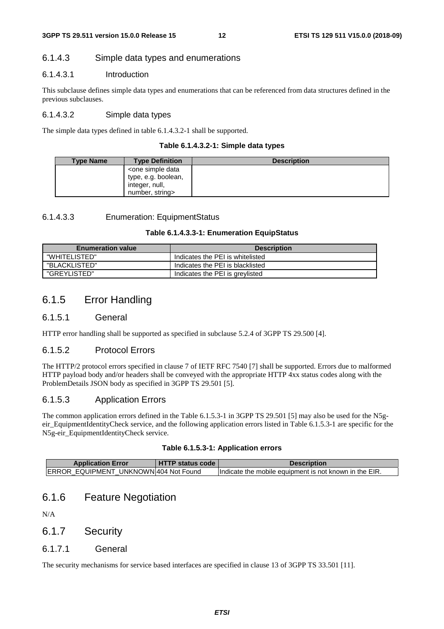#### 6.1.4.3 Simple data types and enumerations

#### 6.1.4.3.1 Introduction

This subclause defines simple data types and enumerations that can be referenced from data structures defined in the previous subclauses.

#### 6.1.4.3.2 Simple data types

The simple data types defined in table 6.1.4.3.2-1 shall be supported.

|  | Table 6.1.4.3.2-1: Simple data types |  |  |  |
|--|--------------------------------------|--|--|--|
|--|--------------------------------------|--|--|--|

| <b>Type Name</b> | <b>Type Definition</b>                        | <b>Description</b> |
|------------------|-----------------------------------------------|--------------------|
|                  | <one data<="" simple="" th=""><th></th></one> |                    |
|                  | type, e.g. boolean,                           |                    |
|                  | integer, null,                                |                    |
|                  | number, string>                               |                    |

#### 6.1.4.3.3 Enumeration: EquipmentStatus

#### **Table 6.1.4.3.3-1: Enumeration EquipStatus**

| <b>Enumeration value</b> | <b>Description</b>               |
|--------------------------|----------------------------------|
| "WHITELISTED"            | Indicates the PEI is whitelisted |
| "BLACKLISTED"            | Indicates the PEI is blacklisted |
| "GREYLISTED"             | Indicates the PEI is greylisted  |

### 6.1.5 Error Handling

#### 6.1.5.1 General

HTTP error handling shall be supported as specified in subclause 5.2.4 of 3GPP TS 29.500 [4].

#### 6.1.5.2 Protocol Errors

The HTTP/2 protocol errors specified in clause 7 of IETF RFC 7540 [7] shall be supported. Errors due to malformed HTTP payload body and/or headers shall be conveyed with the appropriate HTTP 4xx status codes along with the ProblemDetails JSON body as specified in 3GPP TS 29.501 [5].

#### 6.1.5.3 Application Errors

The common application errors defined in the Table 6.1.5.3-1 in 3GPP TS 29.501 [5] may also be used for the N5geir\_EquipmentIdentityCheck service, and the following application errors listed in Table 6.1.5.3-1 are specific for the N5g-eir\_EquipmentIdentityCheck service.

|  | Table 6.1.5.3-1: Application errors |
|--|-------------------------------------|
|--|-------------------------------------|

| <b>Application Error</b>               | <b>HTTP status code</b> | <b>Description</b>                                      |
|----------------------------------------|-------------------------|---------------------------------------------------------|
| IERROR EQUIPMENT UNKNOWN 404 Not Found |                         | lindicate the mobile equipment is not known in the EIR. |

#### 6.1.6 Feature Negotiation

N/A

#### 6.1.7 Security

#### 6.1.7.1 General

The security mechanisms for service based interfaces are specified in clause 13 of 3GPP TS 33.501 [11].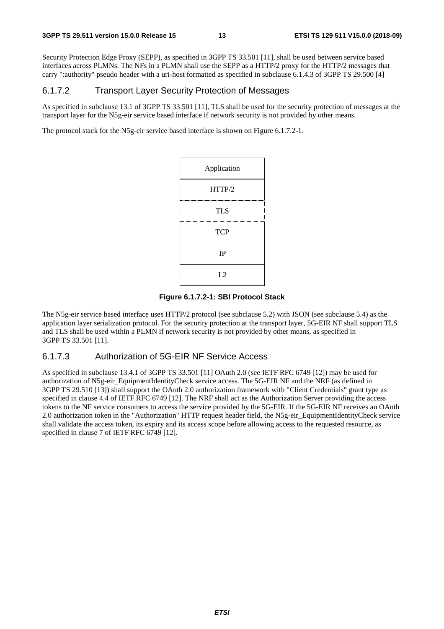Security Protection Edge Proxy (SEPP), as specified in 3GPP TS 33.501 [11], shall be used between service based interfaces across PLMNs. The NFs in a PLMN shall use the SEPP as a HTTP/2 proxy for the HTTP/2 messages that carry ":authority" pseudo header with a uri-host formatted as specified in subclause 6.1.4.3 of 3GPP TS 29.500 [4]

#### 6.1.7.2 Transport Layer Security Protection of Messages

As specified in subclause 13.1 of 3GPP TS 33.501 [11], TLS shall be used for the security protection of messages at the transport layer for the N5g-eir service based interface if network security is not provided by other means.

The protocol stack for the N5g-eir service based interface is shown on Figure 6.1.7.2-1.

| Application |
|-------------|
| HTTP/2      |
| <b>TLS</b>  |
| <b>TCP</b>  |
| IP          |
| L2          |

#### **Figure 6.1.7.2-1: SBI Protocol Stack**

The N5g-eir service based interface uses HTTP/2 protocol (see subclause 5.2) with JSON (see subclause 5.4) as the application layer serialization protocol. For the security protection at the transport layer, 5G-EIR NF shall support TLS and TLS shall be used within a PLMN if network security is not provided by other means, as specified in 3GPP TS 33.501 [11].

#### 6.1.7.3 Authorization of 5G-EIR NF Service Access

As specified in subclause 13.4.1 of 3GPP TS 33.501 [11] OAuth 2.0 (see IETF RFC 6749 [12]) may be used for authorization of N5g-eir\_EquipmentIdentityCheck service access. The 5G-EIR NF and the NRF (as defined in 3GPP TS 29.510 [13]) shall support the OAuth 2.0 authorization framework with "Client Credentials" grant type as specified in clause 4.4 of IETF RFC 6749 [12]. The NRF shall act as the Authorization Server providing the access tokens to the NF service consumers to access the service provided by the 5G-EIR. If the 5G-EIR NF receives an OAuth 2.0 authorization token in the "Authorization" HTTP request header field, the N5g-eir\_EquipmentIdentityCheck service shall validate the access token, its expiry and its access scope before allowing access to the requested resource, as specified in clause 7 of IETF RFC 6749 [12].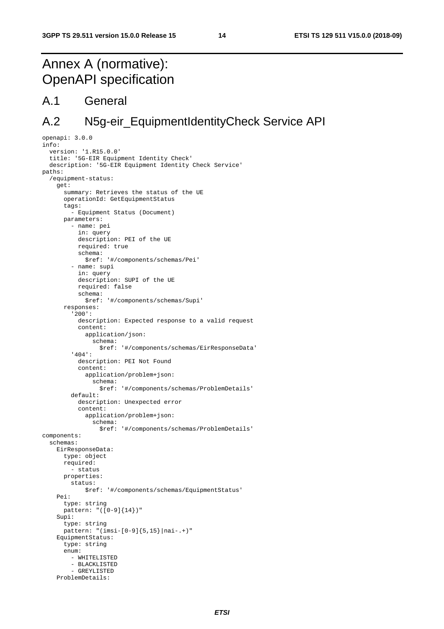# Annex A (normative): OpenAPI specification

### A.1 General

### A.2 N5g-eir\_EquipmentIdentityCheck Service API

```
openapi: 3.0.0 
info: 
   version: '1.R15.0.0' 
   title: '5G-EIR Equipment Identity Check' 
   description: '5G-EIR Equipment Identity Check Service' 
paths: 
   /equipment-status: 
     get: 
       summary: Retrieves the status of the UE 
       operationId: GetEquipmentStatus 
       tags: 
         - Equipment Status (Document) 
       parameters: 
          - name: pei 
           in: query 
            description: PEI of the UE 
            required: true 
            schema: 
              $ref: '#/components/schemas/Pei' 
          - name: supi 
            in: query 
            description: SUPI of the UE 
            required: false 
            schema: 
              $ref: '#/components/schemas/Supi' 
       responses: 
          '200': 
            description: Expected response to a valid request 
            content: 
              application/json: 
                schema: 
                   $ref: '#/components/schemas/EirResponseData' 
          '404': 
            description: PEI Not Found 
            content: 
              application/problem+json: 
                schema: 
                   $ref: '#/components/schemas/ProblemDetails' 
          default: 
            description: Unexpected error 
            content: 
              application/problem+json: 
                schema: 
                   $ref: '#/components/schemas/ProblemDetails' 
components: 
   schemas: 
     EirResponseData: 
       type: object 
       required: 
          -<br>- status
       properties: 
         status: 
              $ref: '#/components/schemas/EquipmentStatus' 
     Pei: 
       type: string 
       pattern: "([0-9]{14})" 
     Supi: 
       type: string 
       pattern: "(imsi-[0-9]{5,15}|nai-.+)" 
     EquipmentStatus: 
       type: string 
       enum: 
          - WHITELISTED 
          - BLACKLISTED 
          - GREYLISTED 
     ProblemDetails:
```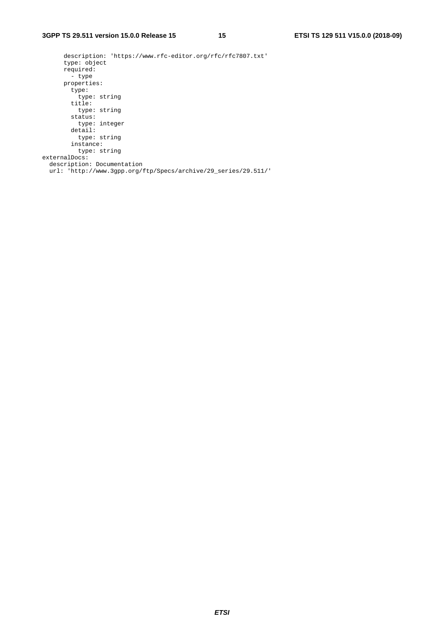description: 'https://www.rfc-editor.org/rfc/rfc7807.txt' type: object required: - type properties: type: type: string title: type: string status: type: integer detail: type: string instance: type: string externalDocs: description: Documentation url: 'http://www.3gpp.org/ftp/Specs/archive/29\_series/29.511/'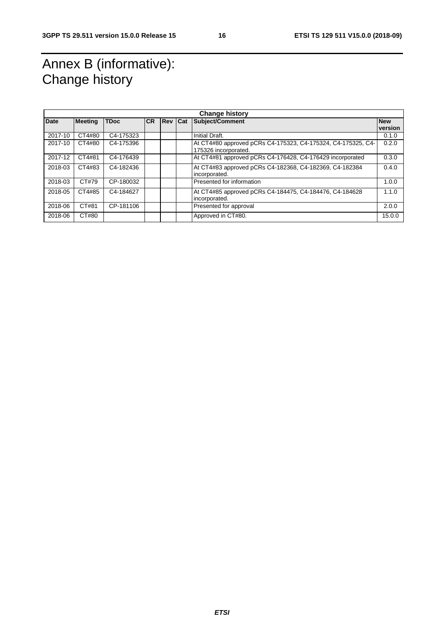# Annex B (informative): Change history

| <b>Change history</b> |                |             |           |                |  |                                                              |            |
|-----------------------|----------------|-------------|-----------|----------------|--|--------------------------------------------------------------|------------|
| <b>Date</b>           | <b>Meeting</b> | <b>TDoc</b> | <b>CR</b> | <b>Rev Cat</b> |  | Subject/Comment                                              | <b>New</b> |
|                       |                |             |           |                |  |                                                              | version    |
| 2017-10               | CT4#80         | C4-175323   |           |                |  | Initial Draft.                                               | 0.1.0      |
| 2017-10               | CT4#80         | C4-175396   |           |                |  | At CT4#80 approved pCRs C4-175323, C4-175324, C4-175325, C4- | 0.2.0      |
|                       |                |             |           |                |  | 175326 incorporated.                                         |            |
| 2017-12               | CT4#81         | C4-176439   |           |                |  | At CT4#81 approved pCRs C4-176428, C4-176429 incorporated    | 0.3.0      |
| 2018-03               | CT4#83         | C4-182436   |           |                |  | At CT4#83 approved pCRs C4-182368, C4-182369, C4-182384      | 0.4.0      |
|                       |                |             |           |                |  | incorporated.                                                |            |
| 2018-03               | CT#79          | CP-180032   |           |                |  | Presented for information                                    | 1.0.0      |
| 2018-05               | CT4#85         | C4-184627   |           |                |  | At CT4#85 approved pCRs C4-184475, C4-184476, C4-184628      | 1.1.0      |
|                       |                |             |           |                |  | incorporated.                                                |            |
| 2018-06               | CT#81          | CP-181106   |           |                |  | Presented for approval                                       | 2.0.0      |
| 2018-06               | CT#80          |             |           |                |  | Approved in CT#80.                                           | 15.0.0     |